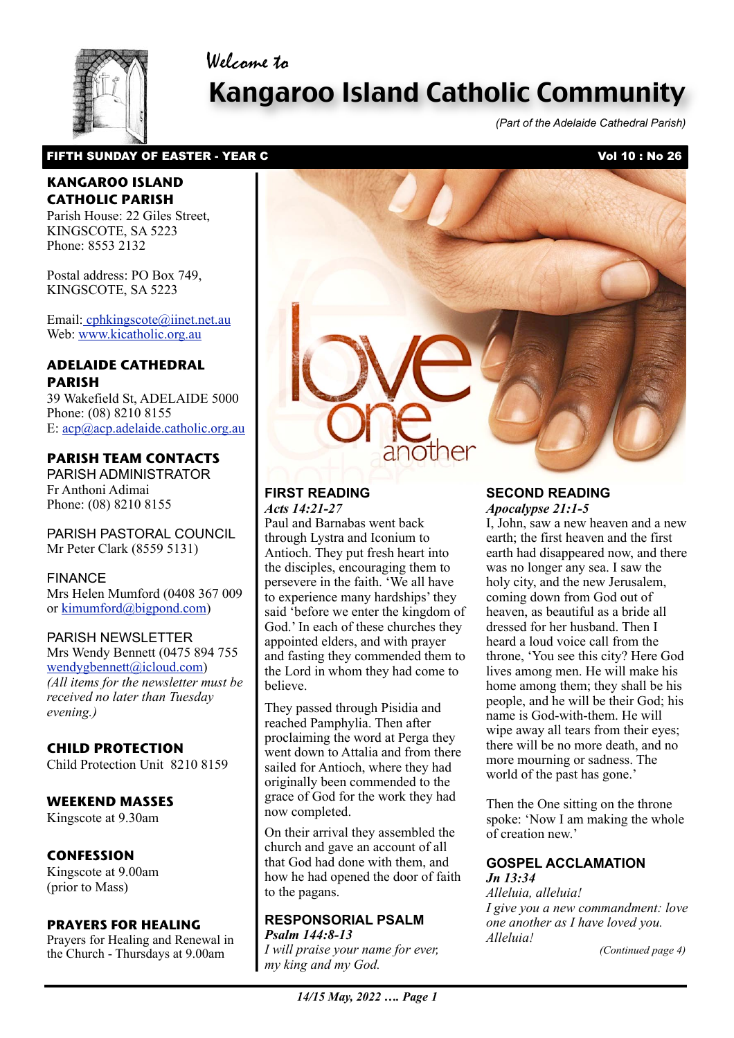## Welcome to



# Kangaroo Island Catholic Community

*(Part of the Adelaide Cathedral Parish)*

## FIFTH SUNDAY OF EASTER - YEAR C<br>
Vol 10 : No 26

## **KANGAROO ISLAND CATHOLIC PARISH**

Parish House: 22 Giles Street, KINGSCOTE, SA 5223 Phone: 8553 2132

Postal address: PO Box 749, KINGSCOTE, SA 5223

Email[: cphkingscote@iinet.net.au](mailto:cphkingscote@iinet.net.au) Web: [www.kicatholic.org.au](http://www.kicatholic.org.au)

## **ADELAIDE CATHEDRAL PARISH**

39 Wakefield St, ADELAIDE 5000 Phone: (08) 8210 8155 E: [acp@acp.adelaide.catholic.org.au](mailto:?subject=)

## **PARISH TEAM CONTACTS**

PARISH ADMINISTRATOR Fr Anthoni Adimai Phone: (08) 8210 8155

PARISH PASTORAL COUNCIL Mr Peter Clark (8559 5131)

#### FINANCE

Mrs Helen Mumford (0408 367 009 or [kimumford@bigpond.com\)](mailto:kimumford@bigpond.com)

#### PARISH NEWSLETTER

Mrs Wendy Bennett (0475 894 755 [wendygbennett@icloud.com\)](mailto:wendygbennett@icloud.com) *(All items for the newsletter must be received no later than Tuesday evening.)*

## **CHILD PROTECTION**

Child Protection Unit 8210 8159

## **WEEKEND MASSES**

Kingscote at 9.30am

## **CONFESSION**

Kingscote at 9.00am (prior to Mass)

#### **PRAYERS FOR HEALING**

Prayers for Healing and Renewal in the Church - Thursdays at 9.00am



#### **FIRST READING** *Acts 14:21-27*

Paul and Barnabas went back through Lystra and Iconium to Antioch. They put fresh heart into the disciples, encouraging them to persevere in the faith. 'We all have to experience many hardships' they said 'before we enter the kingdom of God.' In each of these churches they appointed elders, and with prayer and fasting they commended them to the Lord in whom they had come to believe.

They passed through Pisidia and reached Pamphylia. Then after proclaiming the word at Perga they went down to Attalia and from there sailed for Antioch, where they had originally been commended to the grace of God for the work they had now completed.

On their arrival they assembled the church and gave an account of all that God had done with them, and how he had opened the door of faith to the pagans.

#### **RESPONSORIAL PSALM** *Psalm 144:8-13*

 *my king and my God. I will praise your name for ever,* 

#### **SECOND READING** *Apocalypse 21:1-5*

I, John, saw a new heaven and a new earth; the first heaven and the first earth had disappeared now, and there was no longer any sea. I saw the holy city, and the new Jerusalem, coming down from God out of heaven, as beautiful as a bride all dressed for her husband. Then I heard a loud voice call from the throne, 'You see this city? Here God lives among men. He will make his home among them; they shall be his people, and he will be their God; his name is God-with-them. He will wipe away all tears from their eyes; there will be no more death, and no more mourning or sadness. The world of the past has gone.'

Then the One sitting on the throne spoke: 'Now I am making the whole of creation new.'

#### **GOSPEL ACCLAMATION** *Jn 13:34*

*Alleluia, alleluia! I give you a new commandment: love one another as I have loved you. Alleluia!*

*(Continued page 4)*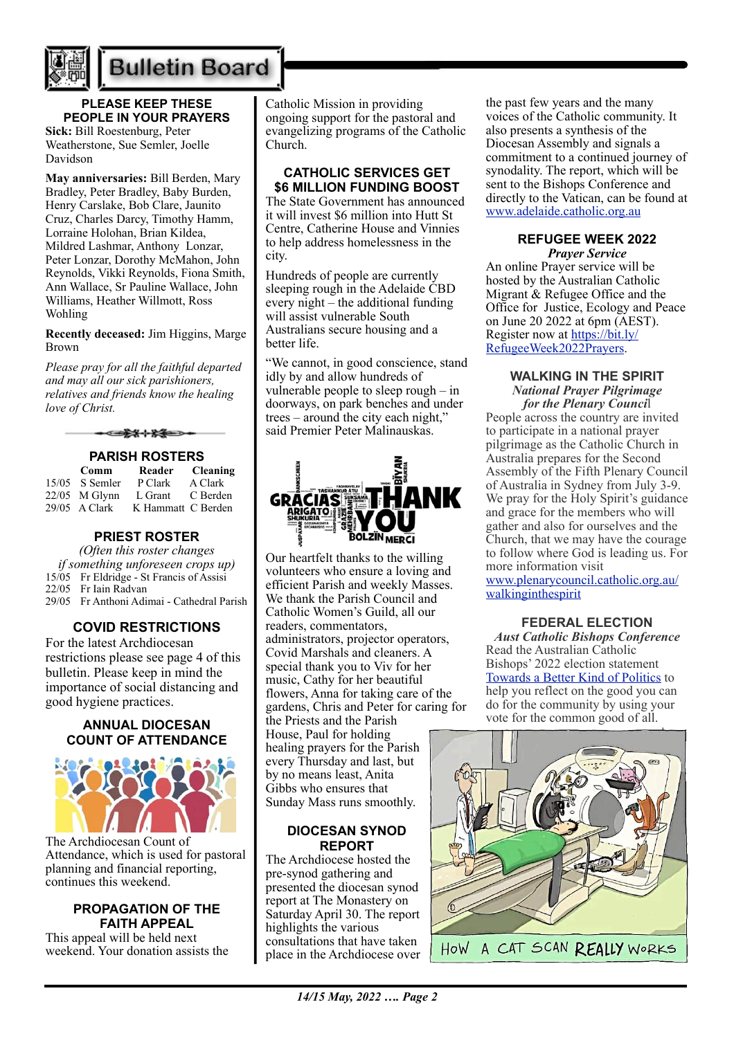

# **Bulletin Board**

## **PLEASE KEEP THESE PEOPLE IN YOUR PRAYERS**

**Sick:** Bill Roestenburg, Peter Weatherstone, Sue Semler, Joelle Davidson

**May anniversaries:** Bill Berden, Mary Bradley, Peter Bradley, Baby Burden, Henry Carslake, Bob Clare, Jaunito Cruz, Charles Darcy, Timothy Hamm, Lorraine Holohan, Brian Kildea, Mildred Lashmar, Anthony Lonzar, Peter Lonzar, Dorothy McMahon, John Reynolds, Vikki Reynolds, Fiona Smith, Ann Wallace, Sr Pauline Wallace, John Williams, Heather Willmott, Ross Wohling

**Recently deceased:** Jim Higgins, Marge Brown

*Please pray for all the faithful departed and may all our sick parishioners, relatives and friends know the healing love of Christ.*

-⊂¥≭⊹¥≨≔>

## **PARISH ROSTERS**

| <b>Comm</b>      | Reader             | <b>Cleaning</b> |
|------------------|--------------------|-----------------|
| $15/05$ S Semler | P Clark            | A Clark         |
| $22/05$ M Glynn  | L Grant            | C Berden        |
| $29/05$ A Clark  | K Hammatt C Berden |                 |

## **PRIEST ROSTER**

*(Often this roster changes if something unforeseen crops up)* 15/05 Fr Eldridge - St Francis of Assisi 22/05 Fr Iain Radvan 29/05 Fr Anthoni Adimai - Cathedral Parish

## **COVID RESTRICTIONS**

For the latest Archdiocesan restrictions please see page 4 of this bulletin. Please keep in mind the importance of social distancing and good hygiene practices.

#### **ANNUAL DIOCESAN COUNT OF ATTENDANCE**



The Archdiocesan Count of Attendance, which is used for pastoral planning and financial reporting, continues this weekend.

#### **PROPAGATION OF THE FAITH APPEAL**

This appeal will be held next weekend. Your donation assists the Catholic Mission in providing ongoing support for the pastoral and evangelizing programs of the Catholic Church.

#### **CATHOLIC SERVICES GET \$6 MILLION FUNDING BOOST**

The State Government has announced it will invest \$6 million into Hutt St Centre, Catherine House and Vinnies to help address homelessness in the city.

Hundreds of people are currently sleeping rough in the Adelaide CBD every night – the additional funding will assist vulnerable South Australians secure housing and a better life.

"We cannot, in good conscience, stand idly by and allow hundreds of vulnerable people to sleep rough – in doorways, on park benches and under trees – around the city each night," said Premier Peter Malinauskas.



Our heartfelt thanks to the willing volunteers who ensure a loving and efficient Parish and weekly Masses. We thank the Parish Council and Catholic Women's Guild, all our readers, commentators, administrators, projector operators, Covid Marshals and cleaners. A special thank you to Viv for her music, Cathy for her beautiful flowers, Anna for taking care of the gardens, Chris and Peter for caring for the Priests and the Parish House, Paul for holding healing prayers for the Parish every Thursday and last, but by no means least, Anita Gibbs who ensures that Sunday Mass runs smoothly.

#### **DIOCESAN SYNOD REPORT**

The Archdiocese hosted the pre-synod gathering and presented the diocesan synod report at The Monastery on Saturday April 30. The report highlights the various consultations that have taken place in the Archdiocese over

the past few years and the many voices of the Catholic community. It also presents a synthesis of the Diocesan Assembly and signals a commitment to a continued journey of synodality. The report, which will be sent to the Bishops Conference and directly to the Vatican, can be found at [www.adelaide.catholic.org.au](https://aus01.safelinks.protection.outlook.com/?url=http%3A%2F%2Fwww.adelaide.catholic.org.au%2F&data=05%7C01%7Clmcnamara%40adelaide.catholic.org.au%7Cd4231f51bf0344bd007a08da2ca2d066%7Cfe51d108d61d407cbcaaaab5af82a7ac%7C1%7C0%7C637871375039080314%7CUnknown%7CTWFpbGZsb3d8eyJWIjoiMC4wLjAwMDAiLCJQIjoiV2luMzIiLCJBTiI6Ik1haWwiLCJXVCI6Mn0%3D%7C3000%7C%7C%7C&sdata=1dhuFeYObxGhNRcYmEOn8nGWHdh7h9hzhhwk7z0PaAQ%3D&reserved=0)

#### **REFUGEE WEEK 2022** *Prayer Service*

An online Prayer service will be hosted by the Australian Catholic Migrant & Refugee Office and the Office for Justice, Ecology and Peace on June 20 2022 at 6pm (AEST). Register now at [https://bit.ly/](https://bit.ly/RefugeeWeek2022Prayers) [RefugeeWeek2022Prayers](https://bit.ly/RefugeeWeek2022Prayers).

#### **WALKING IN THE SPIRIT**  *National Prayer Pilgrimage for the Plenary Counci*l

People across the country are invited to participate in a national prayer pilgrimage as the Catholic Church in Australia prepares for the Second Assembly of the Fifth Plenary Council of Australia in Sydney from July 3-9. We pray for the Holy Spirit's guidance and grace for the members who will gather and also for ourselves and the Church, that we may have the courage to follow where God is leading us. For more information visit [www.plenarycouncil.catholic.org.au/](http://www.plenarycouncil.catholic.org.au/walkinginthespirit) [walkinginthespirit](http://www.plenarycouncil.catholic.org.au/walkinginthespirit)

## **FEDERAL ELECTION**

*Aust Catholic Bishops Conference* Read the Australian Catholic Bishops' 2022 election statement [Towards a Better Kind of Politics](https://adelaide.catholic.org.au/__files/f/125533/8.Towards%20a%20Better%20Kind%20of%20Politics%20FINAL.pdf) to help you reflect on the good you can do for the community by using your vote for the common good of all.

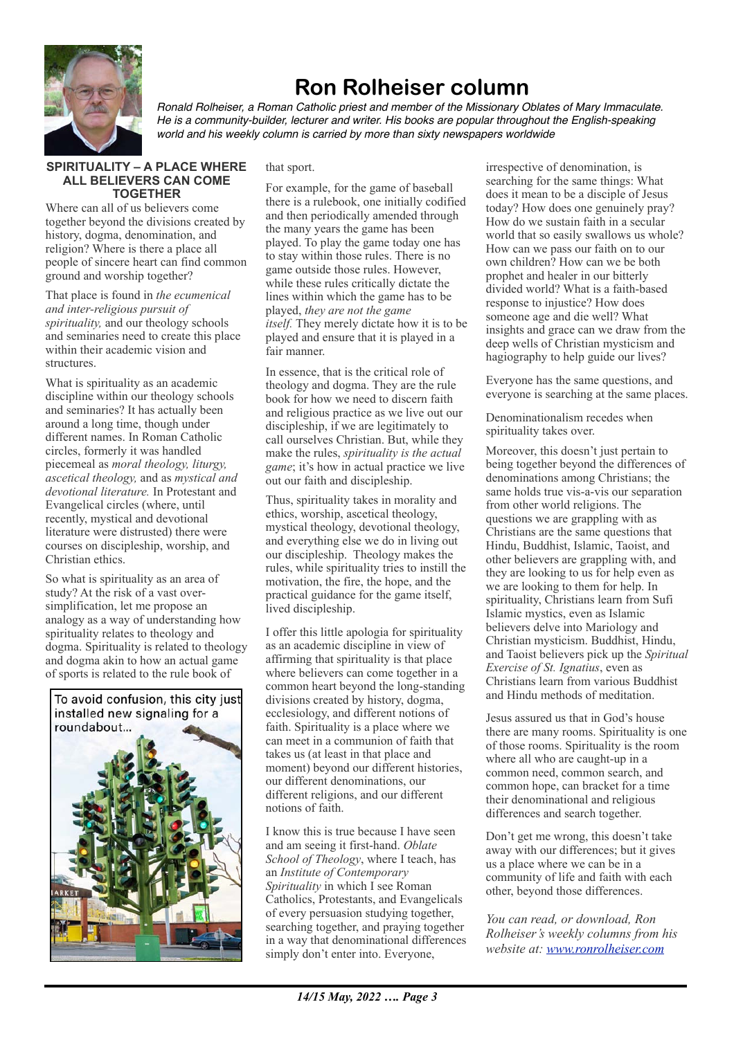

## **Ron Rolheiser column**

*Ronald Rolheiser, a Roman Catholic priest and member of the Missionary Oblates of Mary Immaculate. He is a community-builder, lecturer and writer. His books are popular throughout the English-speaking world and his weekly column is carried by more than sixty newspapers worldwide*

#### **SPIRITUALITY – A PLACE WHERE ALL BELIEVERS CAN COME TOGETHER**

Where can all of us believers come together beyond the divisions created by history, dogma, denomination, and religion? Where is there a place all people of sincere heart can find common ground and worship together?

That place is found in *the ecumenical and inter-religious pursuit of spirituality*, and our theology schools and seminaries need to create this place within their academic vision and structures.

What is spirituality as an academic discipline within our theology schools and seminaries? It has actually been around a long time, though under different names. In Roman Catholic circles, formerly it was handled piecemeal as *moral theology, liturgy, ascetical theology,* and as *mystical and devotional literature.* In Protestant and Evangelical circles (where, until recently, mystical and devotional literature were distrusted) there were courses on discipleship, worship, and Christian ethics.

So what is spirituality as an area of study? At the risk of a vast oversimplification, let me propose an analogy as a way of understanding how spirituality relates to theology and dogma. Spirituality is related to theology and dogma akin to how an actual game of sports is related to the rule book of



that sport.

For example, for the game of baseball there is a rulebook, one initially codified and then periodically amended through the many years the game has been played. To play the game today one has to stay within those rules. There is no game outside those rules. However, while these rules critically dictate the lines within which the game has to be played, *they are not the game itself.* They merely dictate how it is to be played and ensure that it is played in a fair manner.

In essence, that is the critical role of theology and dogma. They are the rule book for how we need to discern faith and religious practice as we live out our discipleship, if we are legitimately to call ourselves Christian. But, while they make the rules, *spirituality is the actual game*; it's how in actual practice we live out our faith and discipleship.

Thus, spirituality takes in morality and ethics, worship, ascetical theology, mystical theology, devotional theology, and everything else we do in living out our discipleship. Theology makes the rules, while spirituality tries to instill the motivation, the fire, the hope, and the practical guidance for the game itself, lived discipleship.

I offer this little apologia for spirituality as an academic discipline in view of affirming that spirituality is that place where believers can come together in a common heart beyond the long-standing divisions created by history, dogma, ecclesiology, and different notions of faith. Spirituality is a place where we can meet in a communion of faith that takes us (at least in that place and moment) beyond our different histories, our different denominations, our different religions, and our different notions of faith.

I know this is true because I have seen and am seeing it first-hand. *Oblate School of Theology*, where I teach, has an *Institute of Contemporary Spirituality* in which I see Roman Catholics, Protestants, and Evangelicals of every persuasion studying together, searching together, and praying together in a way that denominational differences simply don't enter into. Everyone,

irrespective of denomination, is searching for the same things: What does it mean to be a disciple of Jesus today? How does one genuinely pray? How do we sustain faith in a secular world that so easily swallows us whole? How can we pass our faith on to our own children? How can we be both prophet and healer in our bitterly divided world? What is a faith-based response to injustice? How does someone age and die well? What insights and grace can we draw from the deep wells of Christian mysticism and hagiography to help guide our lives?

Everyone has the same questions, and everyone is searching at the same places.

Denominationalism recedes when spirituality takes over.

Moreover, this doesn't just pertain to being together beyond the differences of denominations among Christians; the same holds true vis-a-vis our separation from other world religions. The questions we are grappling with as Christians are the same questions that Hindu, Buddhist, Islamic, Taoist, and other believers are grappling with, and they are looking to us for help even as we are looking to them for help. In spirituality, Christians learn from Sufi Islamic mystics, even as Islamic believers delve into Mariology and Christian mysticism. Buddhist, Hindu, and Taoist believers pick up the *Spiritual Exercise of St. Ignatius*, even as Christians learn from various Buddhist and Hindu methods of meditation.

Jesus assured us that in God's house there are many rooms. Spirituality is one of those rooms. Spirituality is the room where all who are caught-up in a common need, common search, and common hope, can bracket for a time their denominational and religious differences and search together.

Don't get me wrong, this doesn't take away with our differences; but it gives us a place where we can be in a community of life and faith with each other, beyond those differences.

*You can read, or download, Ron Rolheiser's weekly columns from his website at: [www.ronrolheiser.com](http://www.ronrolheiser.com)*